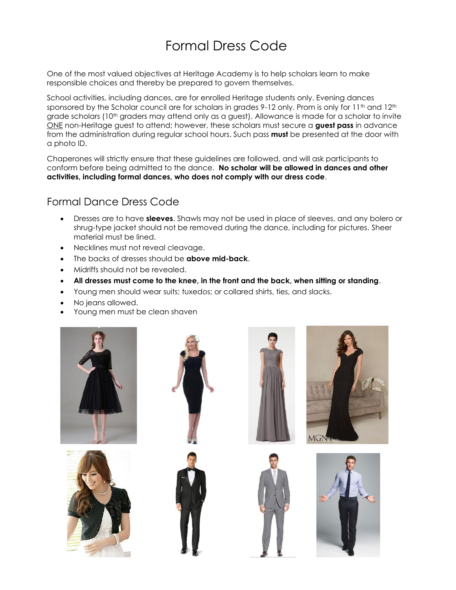## Formal Dress Code

One of the most valued objectives at Heritage Academy is to help scholars learn to make responsible choices and thereby be prepared to govern themselves.

School activities, including dances, are for enrolled Heritage students only. Evening dances sponsored by the Scholar council are for scholars in grades 9-12 only. Prom is only for 11<sup>th</sup> and 12<sup>th</sup> grade scholars (10<sup>th</sup> graders may attend only as a guest). Allowance is made for a scholar to invite ONE non-Heritage guest to attend; however, these scholars must secure a **guest pass** in advance from the administration during regular school hours. Such pass **must** be presented at the door with a photo ID.

Chaperones will strictly ensure that these guidelines are followed, and will ask participants to conform before being admitted to the dance. **No scholar will be allowed in dances and other activities, including formal dances, who does not comply with our dress code**.

## Formal Dance Dress Code

- Dresses are to have **sleeves**. Shawls may not be used in place of sleeves, and any bolero or shrug-type jacket should not be removed during the dance, including for pictures. Sheer material must be lined.
- Necklines must not reveal cleavage.
- The backs of dresses should be **above mid-back**.
- Midriffs should not be revealed.
- **All dresses must come to the knee, in the front and the back, when sitting or standing**.
- Young men should wear suits; tuxedos; or collared shirts, ties, and slacks.
- No jeans allowed.
- Young men must be clean shaven